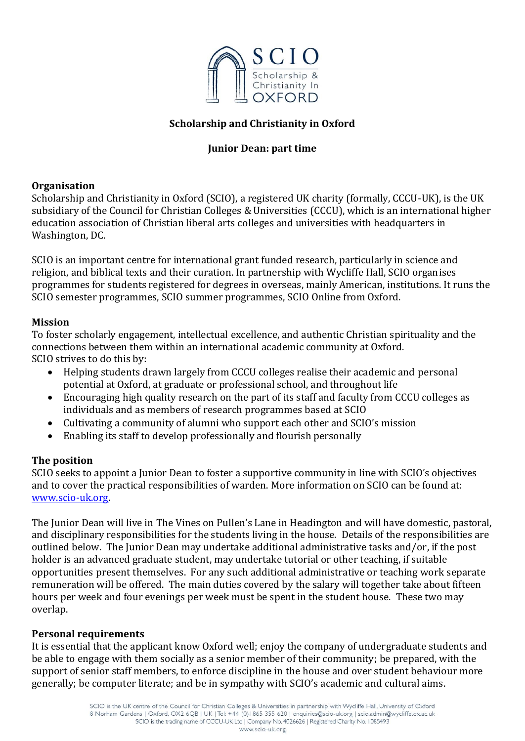

## **Scholarship and Christianity in Oxford**

## **Junior Dean: part time**

### **Organisation**

Scholarship and Christianity in Oxford (SCIO), a registered UK charity (formally, CCCU-UK), is the UK subsidiary of the Council for Christian Colleges & Universities (CCCU), which is an international higher education association of Christian liberal arts colleges and universities with headquarters in Washington, DC.

SCIO is an important centre for international grant funded research, particularly in science and religion, and biblical texts and their curation. In partnership with Wycliffe Hall, SCIO organises programmes for students registered for degrees in overseas, mainly American, institutions. It runs the SCIO semester programmes, SCIO summer programmes, SCIO Online from Oxford.

### **Mission**

To foster scholarly engagement, intellectual excellence, and authentic Christian spirituality and the connections between them within an international academic community at Oxford. SCIO strives to do this by:

- Helping students drawn largely from CCCU colleges realise their academic and personal potential at Oxford, at graduate or professional school, and throughout life
- Encouraging high quality research on the part of its staff and faculty from CCCU colleges as individuals and as members of research programmes based at SCIO
- Cultivating a community of alumni who support each other and SCIO's mission
- Enabling its staff to develop professionally and flourish personally

### **The position**

SCIO seeks to appoint a Junior Dean to foster a supportive community in line with SCIO's objectives and to cover the practical responsibilities of warden. More information on SCIO can be found at: [www.scio-uk.org.](http://www.scio-uk.org/)

The Junior Dean will live in The Vines on Pullen's Lane in Headington and will have domestic, pastoral, and disciplinary responsibilities for the students living in the house. Details of the responsibilities are outlined below. The Junior Dean may undertake additional administrative tasks and/or, if the post holder is an advanced graduate student, may undertake tutorial or other teaching, if suitable opportunities present themselves. For any such additional administrative or teaching work separate remuneration will be offered. The main duties covered by the salary will together take about fifteen hours per week and four evenings per week must be spent in the student house. These two may overlap.

### **Personal requirements**

It is essential that the applicant know Oxford well; enjoy the company of undergraduate students and be able to engage with them socially as a senior member of their community; be prepared, with the support of senior staff members, to enforce discipline in the house and over student behaviour more generally; be computer literate; and be in sympathy with SCIO's academic and cultural aims.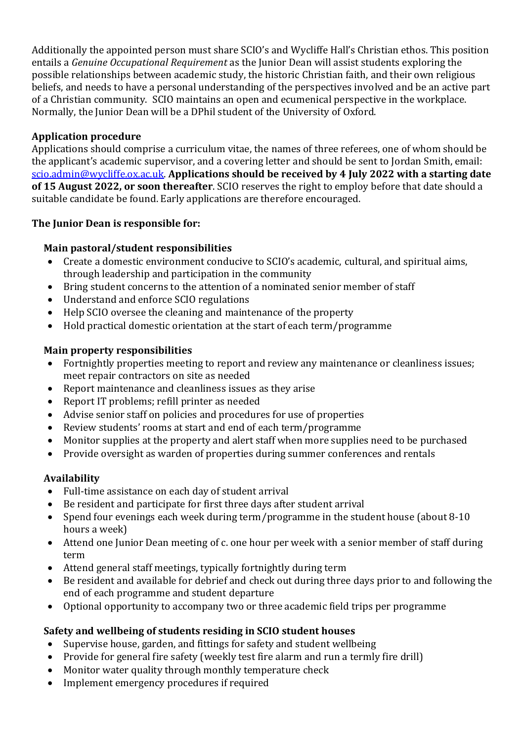Additionally the appointed person must share SCIO's and Wycliffe Hall's Christian ethos. This position entails a *Genuine Occupational Requirement* as the Junior Dean will assist students exploring the possible relationships between academic study, the historic Christian faith, and their own religious beliefs, and needs to have a personal understanding of the perspectives involved and be an active part of a Christian community. SCIO maintains an open and ecumenical perspective in the workplace. Normally, the Junior Dean will be a DPhil student of the University of Oxford.

## **Application procedure**

Applications should comprise a curriculum vitae, the names of three referees, one of whom should be the applicant's academic supervisor, and a covering letter and should be sent to Jordan Smith, email: [scio.admin@wycliffe.ox.ac.uk.](mailto:scio.admin@wycliffe.ox.ac.uk) **Applications should be received by 4 July 2022 with a starting date of 15 August 2022, or soon thereafter**. SCIO reserves the right to employ before that date should a suitable candidate be found. Early applications are therefore encouraged.

## **The Junior Dean is responsible for:**

# **Main pastoral/student responsibilities**

- Create a domestic environment conducive to SCIO's academic, cultural, and spiritual aims, through leadership and participation in the community
- Bring student concerns to the attention of a nominated senior member of staff
- Understand and enforce SCIO regulations
- Help SCIO oversee the cleaning and maintenance of the property
- Hold practical domestic orientation at the start of each term/programme

# **Main property responsibilities**

- Fortnightly properties meeting to report and review any maintenance or cleanliness issues; meet repair contractors on site as needed
- Report maintenance and cleanliness issues as they arise
- Report IT problems; refill printer as needed
- Advise senior staff on policies and procedures for use of properties
- Review students' rooms at start and end of each term/programme
- Monitor supplies at the property and alert staff when more supplies need to be purchased
- Provide oversight as warden of properties during summer conferences and rentals

# **Availability**

- Full-time assistance on each day of student arrival
- Be resident and participate for first three days after student arrival
- Spend four evenings each week during term/programme in the student house (about 8-10) hours a week)
- Attend one Junior Dean meeting of c. one hour per week with a senior member of staff during term
- Attend general staff meetings, typically fortnightly during term
- Be resident and available for debrief and check out during three days prior to and following the end of each programme and student departure
- Optional opportunity to accompany two or three academic field trips per programme

# **Safety and wellbeing of students residing in SCIO student houses**

- Supervise house, garden, and fittings for safety and student wellbeing
- Provide for general fire safety (weekly test fire alarm and run a termly fire drill)
- Monitor water quality through monthly temperature check
- Implement emergency procedures if required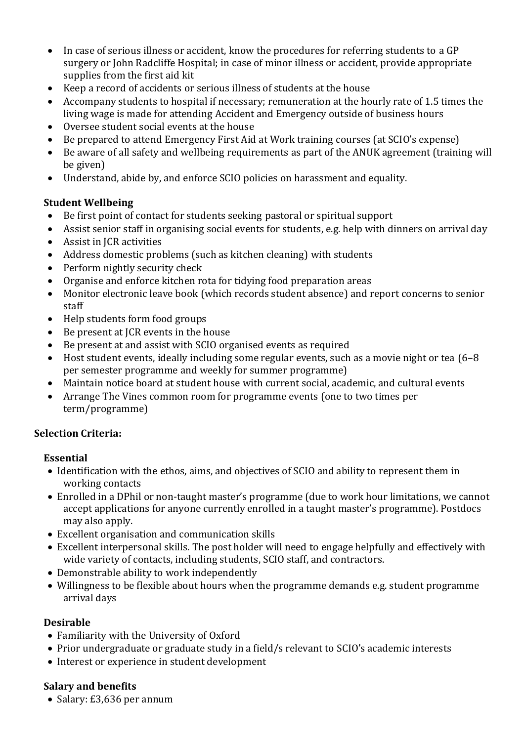- In case of serious illness or accident, know the procedures for referring students to a GP surgery or John Radcliffe Hospital; in case of minor illness or accident, provide appropriate supplies from the first aid kit
- Keep a record of accidents or serious illness of students at the house
- Accompany students to hospital if necessary; remuneration at the hourly rate of 1.5 times the living wage is made for attending Accident and Emergency outside of business hours
- Oversee student social events at the house
- Be prepared to attend Emergency First Aid at Work training courses (at SCIO's expense)
- Be aware of all safety and wellbeing requirements as part of the ANUK agreement (training will be given)
- Understand, abide by, and enforce SCIO policies on harassment and equality.

## **Student Wellbeing**

- Be first point of contact for students seeking pastoral or spiritual support
- Assist senior staff in organising social events for students, e.g. help with dinners on arrival day
- Assist in ICR activities
- Address domestic problems (such as kitchen cleaning) with students
- Perform nightly security check
- Organise and enforce kitchen rota for tidying food preparation areas
- Monitor electronic leave book (which records student absence) and report concerns to senior staff
- Help students form food groups
- Be present at JCR events in the house
- Be present at and assist with SCIO organised events as required
- Host student events, ideally including some regular events, such as a movie night or tea (6–8 per semester programme and weekly for summer programme)
- Maintain notice board at student house with current social, academic, and cultural events
- Arrange The Vines common room for programme events (one to two times per term/programme)

## **Selection Criteria:**

## **Essential**

- Identification with the ethos, aims, and objectives of SCIO and ability to represent them in working contacts
- Enrolled in a DPhil or non-taught master's programme (due to work hour limitations, we cannot accept applications for anyone currently enrolled in a taught master's programme). Postdocs may also apply.
- Excellent organisation and communication skills
- Excellent interpersonal skills. The post holder will need to engage helpfully and effectively with wide variety of contacts, including students, SCIO staff, and contractors.
- Demonstrable ability to work independently
- Willingness to be flexible about hours when the programme demands e.g. student programme arrival days

## **Desirable**

- Familiarity with the University of Oxford
- Prior undergraduate or graduate study in a field/s relevant to SCIO's academic interests
- Interest or experience in student development

## **Salary and benefits**

• Salary: £3,636 per annum